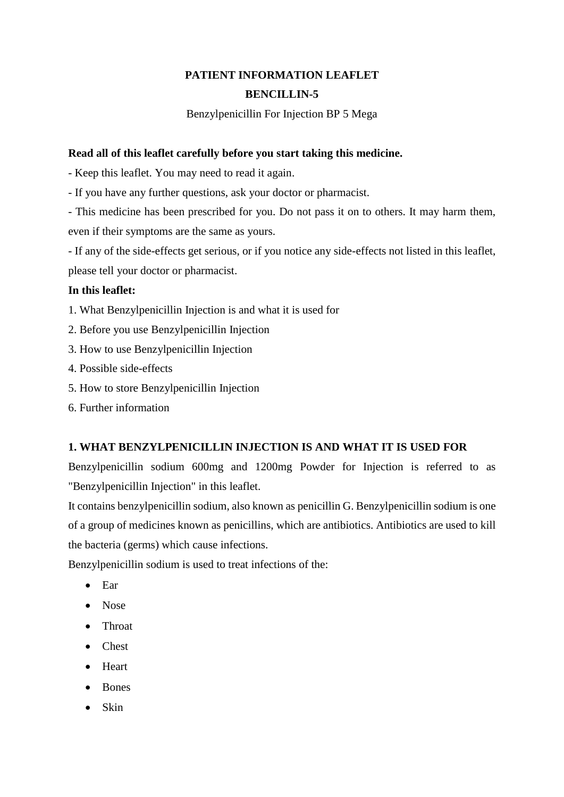# **PATIENT INFORMATION LEAFLET BENCILLIN-5**

Benzylpenicillin For Injection BP 5 Mega

## **Read all of this leaflet carefully before you start taking this medicine.**

- Keep this leaflet. You may need to read it again.

- If you have any further questions, ask your doctor or pharmacist.

- This medicine has been prescribed for you. Do not pass it on to others. It may harm them, even if their symptoms are the same as yours.

- If any of the side-effects get serious, or if you notice any side-effects not listed in this leaflet, please tell your doctor or pharmacist.

## **In this leaflet:**

- 1. What Benzylpenicillin Injection is and what it is used for
- 2. Before you use Benzylpenicillin Injection
- 3. How to use Benzylpenicillin Injection
- 4. Possible side-effects
- 5. How to store Benzylpenicillin Injection
- 6. Further information

## **1. WHAT BENZYLPENICILLIN INJECTION IS AND WHAT IT IS USED FOR**

Benzylpenicillin sodium 600mg and 1200mg Powder for Injection is referred to as "Benzylpenicillin Injection" in this leaflet.

It contains benzylpenicillin sodium, also known as penicillin G. Benzylpenicillin sodium is one of a group of medicines known as penicillins, which are antibiotics. Antibiotics are used to kill the bacteria (germs) which cause infections.

Benzylpenicillin sodium is used to treat infections of the:

- Ear
- Nose
- Throat
- Chest
- Heart
- Bones
- $\bullet$  Skin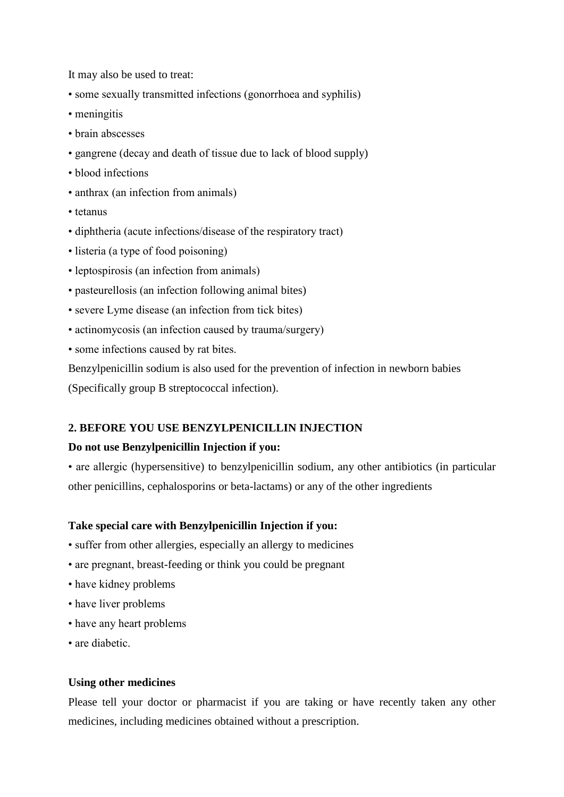It may also be used to treat:

- some sexually transmitted infections (gonorrhoea and syphilis)
- meningitis
- brain abscesses
- gangrene (decay and death of tissue due to lack of blood supply)
- blood infections
- anthrax (an infection from animals)
- tetanus
- diphtheria (acute infections/disease of the respiratory tract)
- listeria (a type of food poisoning)
- leptospirosis (an infection from animals)
- pasteurellosis (an infection following animal bites)
- severe Lyme disease (an infection from tick bites)
- actinomycosis (an infection caused by trauma/surgery)
- some infections caused by rat bites.

Benzylpenicillin sodium is also used for the prevention of infection in newborn babies (Specifically group B streptococcal infection).

### **2. BEFORE YOU USE BENZYLPENICILLIN INJECTION**

#### **Do not use Benzylpenicillin Injection if you:**

• are allergic (hypersensitive) to benzylpenicillin sodium, any other antibiotics (in particular other penicillins, cephalosporins or beta-lactams) or any of the other ingredients

#### **Take special care with Benzylpenicillin Injection if you:**

- suffer from other allergies, especially an allergy to medicines
- are pregnant, breast-feeding or think you could be pregnant
- have kidney problems
- have liver problems
- have any heart problems
- are diabetic.

#### **Using other medicines**

Please tell your doctor or pharmacist if you are taking or have recently taken any other medicines, including medicines obtained without a prescription.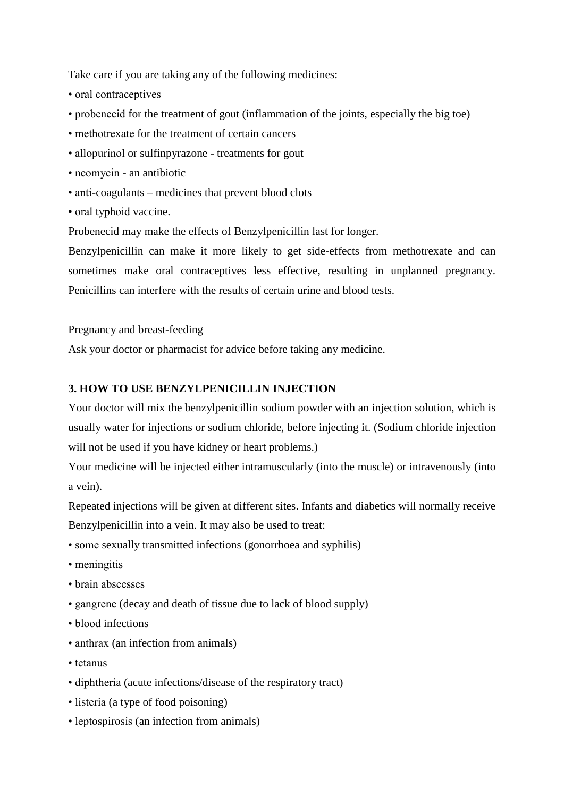Take care if you are taking any of the following medicines:

- oral contraceptives
- probenecid for the treatment of gout (inflammation of the joints, especially the big toe)
- methotrexate for the treatment of certain cancers
- allopurinol or sulfinpyrazone treatments for gout
- neomycin an antibiotic
- anti-coagulants medicines that prevent blood clots
- oral typhoid vaccine.

Probenecid may make the effects of Benzylpenicillin last for longer.

Benzylpenicillin can make it more likely to get side-effects from methotrexate and can sometimes make oral contraceptives less effective, resulting in unplanned pregnancy. Penicillins can interfere with the results of certain urine and blood tests.

Pregnancy and breast-feeding

Ask your doctor or pharmacist for advice before taking any medicine.

## **3. HOW TO USE BENZYLPENICILLIN INJECTION**

Your doctor will mix the benzylpenicillin sodium powder with an injection solution, which is usually water for injections or sodium chloride, before injecting it. (Sodium chloride injection will not be used if you have kidney or heart problems.)

Your medicine will be injected either intramuscularly (into the muscle) or intravenously (into a vein).

Repeated injections will be given at different sites. Infants and diabetics will normally receive Benzylpenicillin into a vein. It may also be used to treat:

- some sexually transmitted infections (gonorrhoea and syphilis)
- meningitis
- brain abscesses
- gangrene (decay and death of tissue due to lack of blood supply)
- blood infections
- anthrax (an infection from animals)
- tetanus
- diphtheria (acute infections/disease of the respiratory tract)
- listeria (a type of food poisoning)
- leptospirosis (an infection from animals)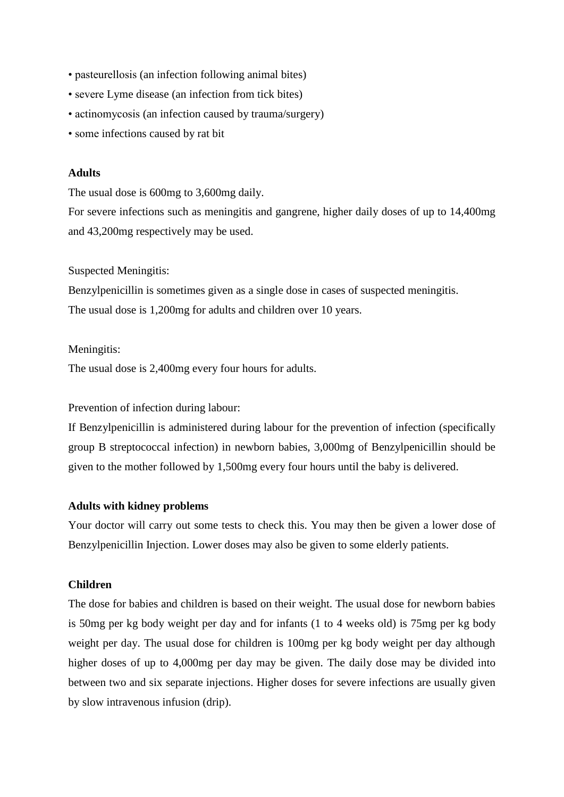- pasteurellosis (an infection following animal bites)
- severe Lyme disease (an infection from tick bites)
- actinomycosis (an infection caused by trauma/surgery)
- some infections caused by rat bit

#### **Adults**

The usual dose is 600mg to 3,600mg daily.

For severe infections such as meningitis and gangrene, higher daily doses of up to 14,400mg and 43,200mg respectively may be used.

#### Suspected Meningitis:

Benzylpenicillin is sometimes given as a single dose in cases of suspected meningitis. The usual dose is 1,200mg for adults and children over 10 years.

#### Meningitis:

The usual dose is 2,400mg every four hours for adults.

Prevention of infection during labour:

If Benzylpenicillin is administered during labour for the prevention of infection (specifically group B streptococcal infection) in newborn babies, 3,000mg of Benzylpenicillin should be given to the mother followed by 1,500mg every four hours until the baby is delivered.

#### **Adults with kidney problems**

Your doctor will carry out some tests to check this. You may then be given a lower dose of Benzylpenicillin Injection. Lower doses may also be given to some elderly patients.

## **Children**

The dose for babies and children is based on their weight. The usual dose for newborn babies is 50mg per kg body weight per day and for infants (1 to 4 weeks old) is 75mg per kg body weight per day. The usual dose for children is 100mg per kg body weight per day although higher doses of up to 4,000mg per day may be given. The daily dose may be divided into between two and six separate injections. Higher doses for severe infections are usually given by slow intravenous infusion (drip).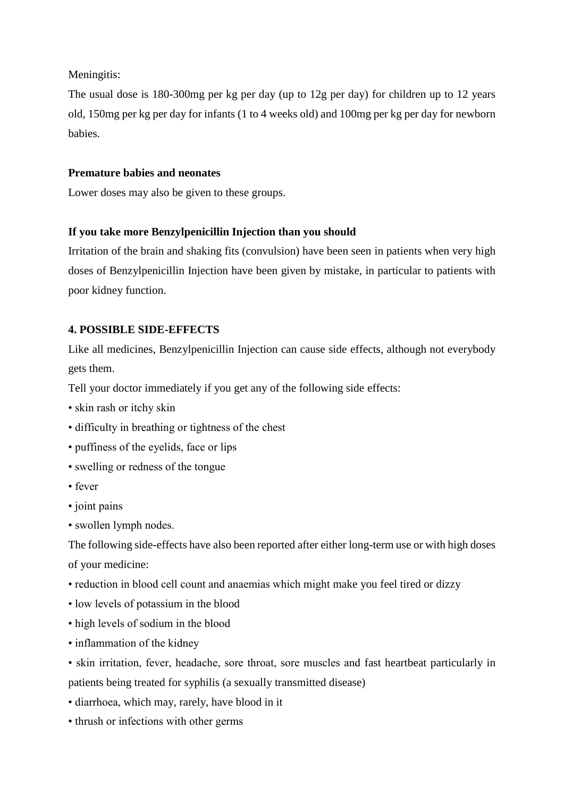Meningitis:

The usual dose is 180-300mg per kg per day (up to 12g per day) for children up to 12 years old, 150mg per kg per day for infants (1 to 4 weeks old) and 100mg per kg per day for newborn babies.

# **Premature babies and neonates**

Lower doses may also be given to these groups.

# **If you take more Benzylpenicillin Injection than you should**

Irritation of the brain and shaking fits (convulsion) have been seen in patients when very high doses of Benzylpenicillin Injection have been given by mistake, in particular to patients with poor kidney function.

# **4. POSSIBLE SIDE-EFFECTS**

Like all medicines, Benzylpenicillin Injection can cause side effects, although not everybody gets them.

Tell your doctor immediately if you get any of the following side effects:

- skin rash or itchy skin
- difficulty in breathing or tightness of the chest
- puffiness of the eyelids, face or lips
- swelling or redness of the tongue
- fever
- joint pains
- swollen lymph nodes.

The following side-effects have also been reported after either long-term use or with high doses of your medicine:

- reduction in blood cell count and anaemias which might make you feel tired or dizzy
- low levels of potassium in the blood
- high levels of sodium in the blood
- inflammation of the kidney

• skin irritation, fever, headache, sore throat, sore muscles and fast heartbeat particularly in patients being treated for syphilis (a sexually transmitted disease)

- diarrhoea, which may, rarely, have blood in it
- thrush or infections with other germs